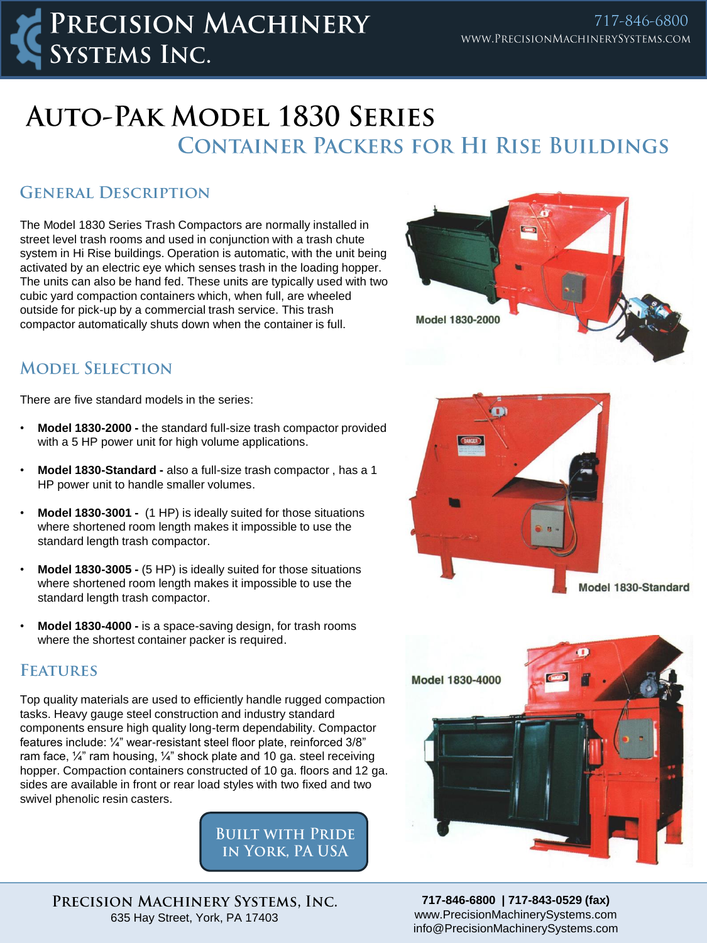## **AUTO-PAK MODEL 1830 SERIES CONTAINER PACKERS FOR HI RISE BUILDINGS**

### **GENERAL DESCRIPTION**

The Model 1830 Series Trash Compactors are normally installed in street level trash rooms and used in conjunction with a trash chute system in Hi Rise buildings. Operation is automatic, with the unit being activated by an electric eye which senses trash in the loading hopper. The units can also be hand fed. These units are typically used with two cubic yard compaction containers which, when full, are wheeled outside for pick-up by a commercial trash service. This trash compactor automatically shuts down when the container is full.



## **MODEL SELECTION**

There are five standard models in the series:

- **Model 1830-2000 -** the standard full-size trash compactor provided with a 5 HP power unit for high volume applications.
- **Model 1830-Standard -** also a full-size trash compactor , has a 1 HP power unit to handle smaller volumes.
- **Model 1830-3001** (1 HP) is ideally suited for those situations where shortened room length makes it impossible to use the standard length trash compactor.
- **Model 1830-3005 -** (5 HP) is ideally suited for those situations where shortened room length makes it impossible to use the standard length trash compactor.
- **Model 1830-4000 -** is a space-saving design, for trash rooms where the shortest container packer is required.

#### **FEATURES**

Top quality materials are used to efficiently handle rugged compaction tasks. Heavy gauge steel construction and industry standard components ensure high quality long-term dependability. Compactor features include: ¼" wear-resistant steel floor plate, reinforced 3/8" ram face, ¼" ram housing, ¼" shock plate and 10 ga. steel receiving hopper. Compaction containers constructed of 10 ga. floors and 12 ga. sides are available in front or rear load styles with two fixed and two swivel phenolic resin casters.

> **BUILT WITH PRIDE** IN YORK, PA USA

PRECISION MACHINERY SYSTEMS, INC. 635 Hay Street, York, PA 17403





**717-846-6800 | 717-843-0529 (fax)** www.PrecisionMachinerySystems.com info@PrecisionMachinerySystems.com